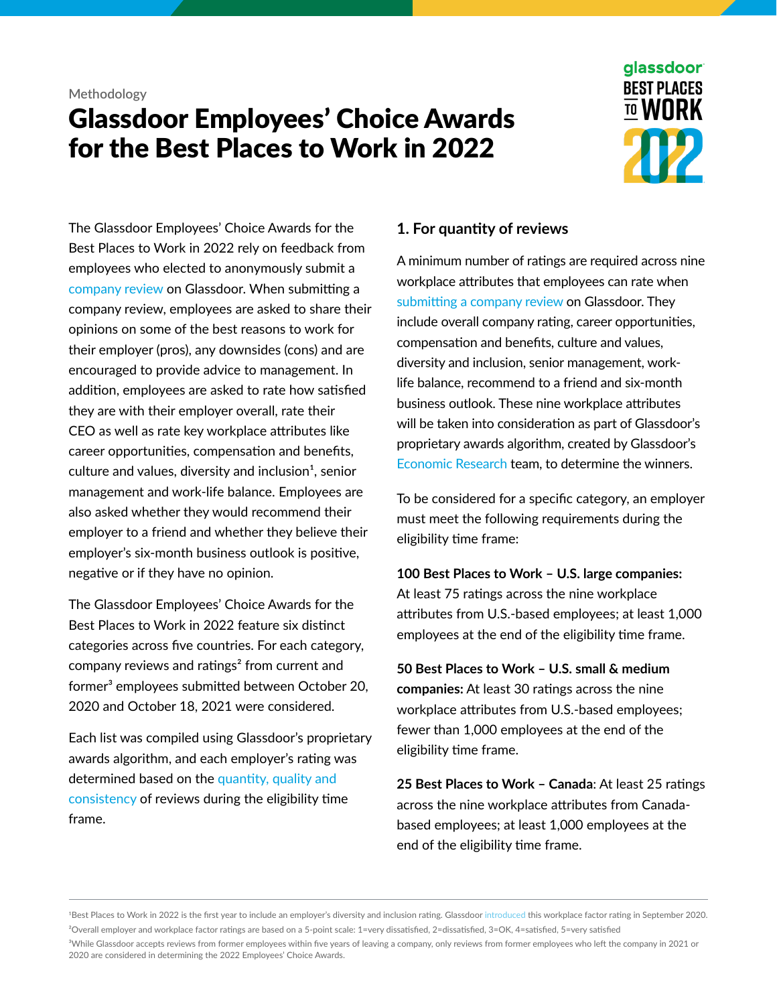#### **Methodology**

# Glassdoor Employees' Choice Awards for the Best Places to Work in 2022



The Glassdoor Employees' Choice Awards for the Best Places to Work in 2022 rely on feedback from employees who elected to anonymously submit a [company review](https://www.glassdoor.com/mz-survey/start_input.htm?cr=&c=PR&showSurvey=Reviews) on Glassdoor. When submitting a company review, employees are asked to share their opinions on some of the best reasons to work for their employer (pros), any downsides (cons) and are encouraged to provide advice to management. In addition, employees are asked to rate how satisfied they are with their employer overall, rate their CEO as well as rate key workplace attributes like career opportunities, compensation and benefits, culture and values, diversity and inclusion<sup>1</sup>, senior management and work-life balance. Employees are also asked whether they would recommend their employer to a friend and whether they believe their employer's six-month business outlook is positive, negative or if they have no opinion.

The Glassdoor Employees' Choice Awards for the Best Places to Work in 2022 feature six distinct categories across five countries. For each category, company reviews and ratings² from current and former<sup>3</sup> employees submitted between October 20, 2020 and October 18, 2021 were considered.

Each list was compiled using Glassdoor's proprietary awards algorithm, and each employer's rating was determined based on the [quantity, quality and](https://www.glassdoor.com/employers/awards/best-places-to-work/)  [consistency](https://www.glassdoor.com/employers/awards/best-places-to-work/) of reviews during the eligibility time frame.

### **1. For quantity of reviews**

A minimum number of ratings are required across nine workplace attributes that employees can rate when [submitting a company review](https://www.glassdoor.com/survey/start_input.htm?contentOriginHook=PR&showSurvey=REVIEWS) on Glassdoor. They include overall company rating, career opportunities, compensation and benefits, culture and values, diversity and inclusion, senior management, worklife balance, recommend to a friend and six-month business outlook. These nine workplace attributes will be taken into consideration as part of Glassdoor's proprietary awards algorithm, created by Glassdoor's [Economic Research](https://www.glassdoor.com/research/) team, to determine the winners.

To be considered for a specific category, an employer must meet the following requirements during the eligibility time frame:

**100 Best Places to Work – U.S. large companies:** At least 75 ratings across the nine workplace attributes from U.S.-based employees; at least 1,000 employees at the end of the eligibility time frame.

**50 Best Places to Work – U.S. small & medium companies:** At least 30 ratings across the nine workplace attributes from U.S.-based employees; fewer than 1,000 employees at the end of the eligibility time frame.

**25 Best Places to Work – Canada**: At least 25 ratings across the nine workplace attributes from Canadabased employees; at least 1,000 employees at the end of the eligibility time frame.

1Best Places to Work in 2022 is the first year to include an employer's diversity and inclusion rating. Glassdoor [introduced](https://www.glassdoor.com/about-us/diversity-and-inclusion-products/) this workplace factor rating in September 2020. ²Overall employer and workplace factor ratings are based on a 5-point scale: 1=very dissatisfied, 2=dissatisfied, 3=OK, 4=satisfied, 5=very satisfied

<sup>3</sup>While Glassdoor accepts reviews from former employees within five years of leaving a company, only reviews from former employees who left the company in 2021 or 2020 are considered in determining the 2022 Employees' Choice Awards.